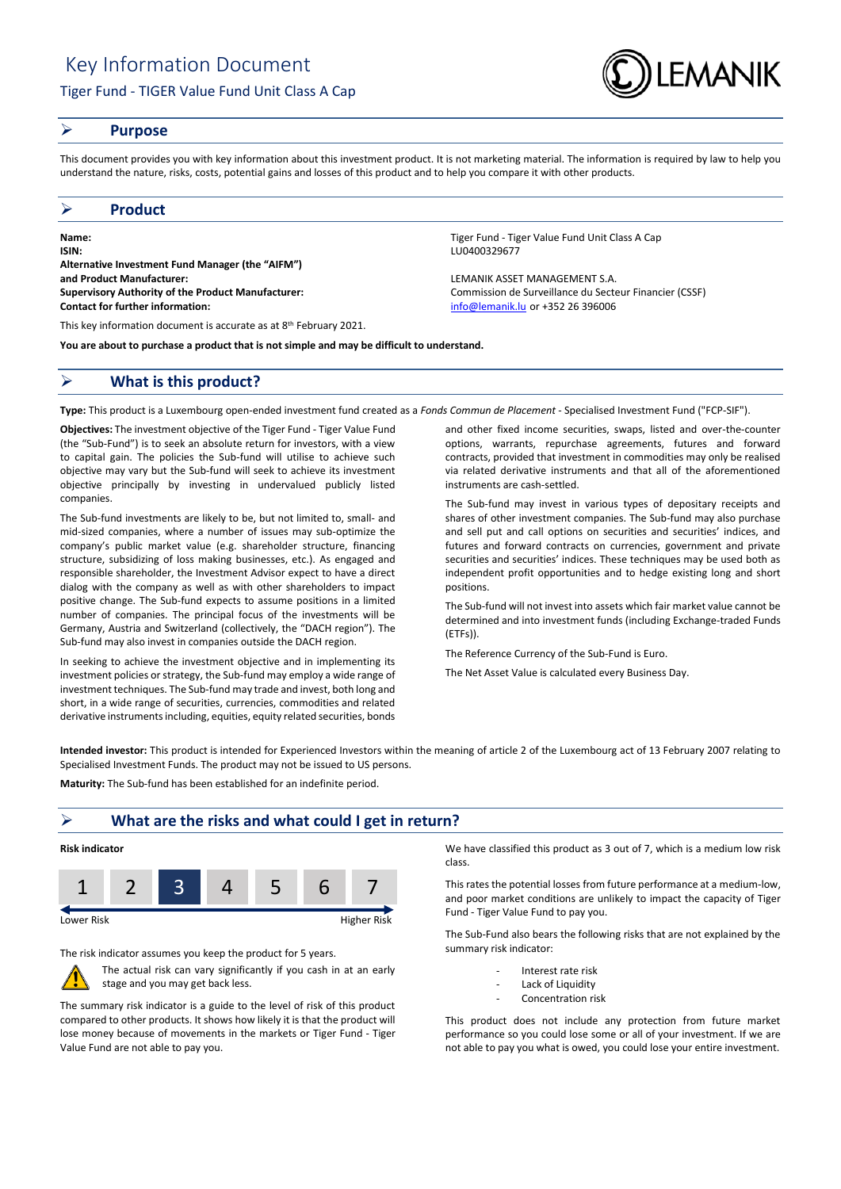

## **Purpose**

This document provides you with key information about this investment product. It is not marketing material. The information is required by law to help you understand the nature, risks, costs, potential gains and losses of this product and to help you compare it with other products.

## **Product**

**Name:** Tiger Fund - Tiger Value Fund Unit Class A Cap **ISIN:** LU0400329677 **Alternative Investment Fund Manager (the "AIFM") and Product Manufacturer:** LEMANIK ASSET MANAGEMENT S.A. **Supervisory Authority of the Product Manufacturer:** Commission de Surveillance du Secteur Financier (CSSF) **Contact for further information:** [info@lemanik.lu](mailto:info@lemanik.lu) or +352 26 396006

This key information document is accurate as at 8<sup>th</sup> February 2021.

**You are about to purchase a product that is not simple and may be difficult to understand.**

## **What is this product?**

**Type:** This product is a Luxembourg open-ended investment fund created as a *Fonds Commun de Placement* - Specialised Investment Fund ("FCP-SIF").

**Objectives:** The investment objective of the Tiger Fund - Tiger Value Fund (the "Sub-Fund") is to seek an absolute return for investors, with a view to capital gain. The policies the Sub-fund will utilise to achieve such objective may vary but the Sub-fund will seek to achieve its investment objective principally by investing in undervalued publicly listed companies.

The Sub-fund investments are likely to be, but not limited to, small- and mid-sized companies, where a number of issues may sub-optimize the company's public market value (e.g. shareholder structure, financing structure, subsidizing of loss making businesses, etc.). As engaged and responsible shareholder, the Investment Advisor expect to have a direct dialog with the company as well as with other shareholders to impact positive change. The Sub-fund expects to assume positions in a limited number of companies. The principal focus of the investments will be Germany, Austria and Switzerland (collectively, the "DACH region"). The Sub-fund may also invest in companies outside the DACH region.

In seeking to achieve the investment objective and in implementing its investment policies or strategy, the Sub-fund may employ a wide range of investment techniques. The Sub-fund may trade and invest, both long and short, in a wide range of securities, currencies, commodities and related derivative instruments including, equities, equity related securities, bonds

and other fixed income securities, swaps, listed and over-the-counter options, warrants, repurchase agreements, futures and forward contracts, provided that investment in commodities may only be realised

via related derivative instruments and that all of the aforementioned

The Sub-fund may invest in various types of depositary receipts and shares of other investment companies. The Sub-fund may also purchase and sell put and call options on securities and securities' indices, and futures and forward contracts on currencies, government and private securities and securities' indices. These techniques may be used both as independent profit opportunities and to hedge existing long and short positions.

The Sub-fund will not invest into assets which fair market value cannot be determined and into investment funds (including Exchange-traded Funds (ETFs)).

The Reference Currency of the Sub-Fund is Euro.

instruments are cash-settled.

The Net Asset Value is calculated every Business Day.

**Intended investor:** This product is intended for Experienced Investors within the meaning of article 2 of the Luxembourg act of 13 February 2007 relating to Specialised Investment Funds. The product may not be issued to US persons.

**Maturity:** The Sub-fund has been established for an indefinite period.

## **What are the risks and what could I get in return?**



The risk indicator assumes you keep the product for 5 years.



The actual risk can vary significantly if you cash in at an early stage and you may get back less.

The summary risk indicator is a guide to the level of risk of this product compared to other products. It shows how likely it is that the product will lose money because of movements in the markets or Tiger Fund - Tiger Value Fund are not able to pay you.

We have classified this product as 3 out of 7, which is a medium low risk class.

This rates the potential losses from future performance at a medium-low, and poor market conditions are unlikely to impact the capacity of Tiger Fund - Tiger Value Fund to pay you.

The Sub-Fund also bears the following risks that are not explained by the summary risk indicator:

- Interest rate risk
- Lack of Liquidity
- Concentration risk

This product does not include any protection from future market performance so you could lose some or all of your investment. If we are not able to pay you what is owed, you could lose your entire investment.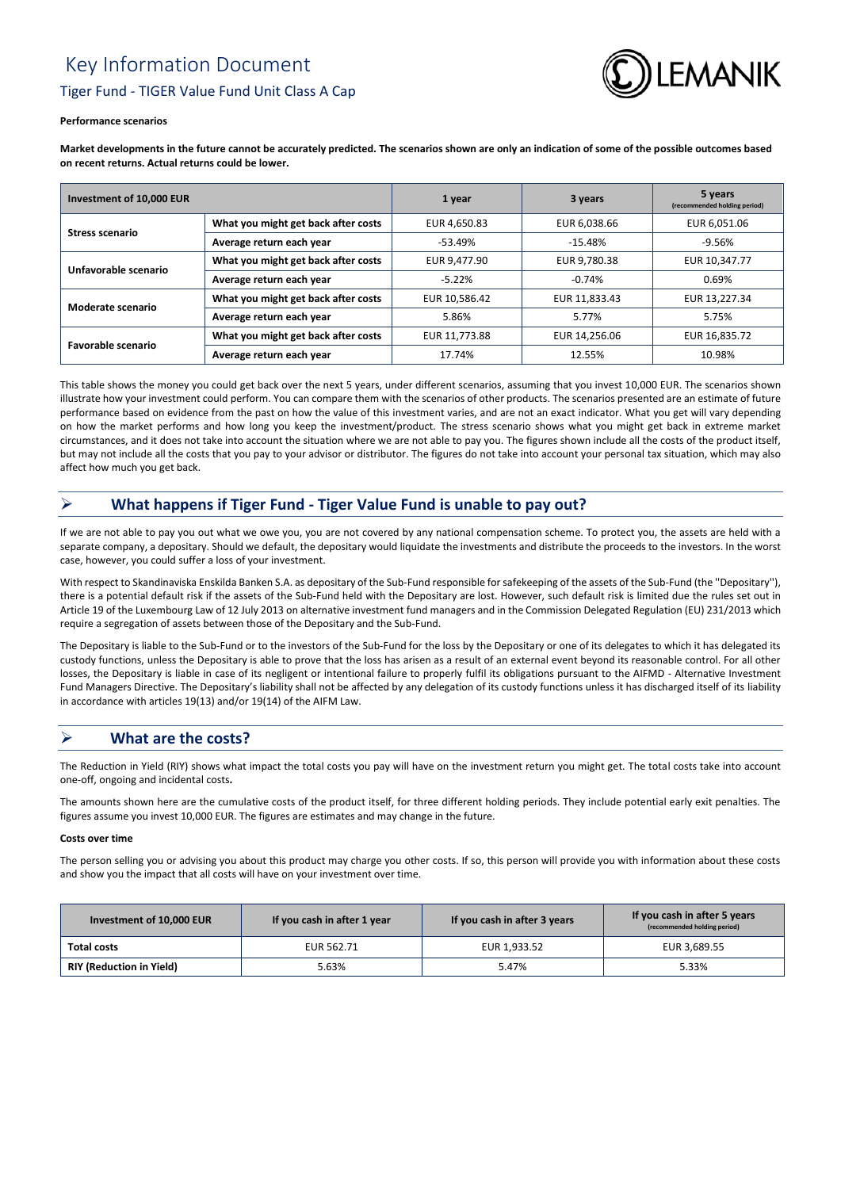# Key Information Document Tiger Fund - TIGER Value Fund Unit Class A Cap



#### **Performance scenarios**

**Market developments in the future cannot be accurately predicted. The scenarios shown are only an indication of some of the possible outcomes based on recent returns. Actual returns could be lower.**

| Investment of 10,000 EUR |                                     | 1 year        | 3 years       | 5 years<br>(recommended holding period) |
|--------------------------|-------------------------------------|---------------|---------------|-----------------------------------------|
| <b>Stress scenario</b>   | What you might get back after costs | EUR 4,650.83  | EUR 6,038.66  | EUR 6,051.06                            |
|                          | Average return each year            | $-53.49%$     | $-15.48%$     | $-9.56%$                                |
| Unfavorable scenario     | What you might get back after costs | EUR 9.477.90  | EUR 9.780.38  | EUR 10.347.77                           |
|                          | Average return each year            | $-5.22%$      | $-0.74%$      | 0.69%                                   |
| Moderate scenario        | What you might get back after costs | EUR 10.586.42 | EUR 11,833.43 | EUR 13,227.34                           |
|                          | Average return each year            | 5.86%         | 5.77%         | 5.75%                                   |
| Favorable scenario       | What you might get back after costs | EUR 11.773.88 | EUR 14.256.06 | EUR 16,835.72                           |
|                          | Average return each year            | 17.74%        | 12.55%        | 10.98%                                  |

This table shows the money you could get back over the next 5 years, under different scenarios, assuming that you invest 10,000 EUR. The scenarios shown illustrate how your investment could perform. You can compare them with the scenarios of other products. The scenarios presented are an estimate of future performance based on evidence from the past on how the value of this investment varies, and are not an exact indicator. What you get will vary depending on how the market performs and how long you keep the investment/product. The stress scenario shows what you might get back in extreme market circumstances, and it does not take into account the situation where we are not able to pay you. The figures shown include all the costs of the product itself, but may not include all the costs that you pay to your advisor or distributor. The figures do not take into account your personal tax situation, which may also affect how much you get back.

# **What happens if Tiger Fund - Tiger Value Fund is unable to pay out?**

If we are not able to pay you out what we owe you, you are not covered by any national compensation scheme. To protect you, the assets are held with a separate company, a depositary. Should we default, the depositary would liquidate the investments and distribute the proceeds to the investors. In the worst case, however, you could suffer a loss of your investment.

With respect to Skandinaviska Enskilda Banken S.A. as depositary of the Sub-Fund responsible for safekeeping of the assets of the Sub-Fund (the ''Depositary''), there is a potential default risk if the assets of the Sub-Fund held with the Depositary are lost. However, such default risk is limited due the rules set out in Article 19 of the Luxembourg Law of 12 July 2013 on alternative investment fund managers and in the Commission Delegated Regulation (EU) 231/2013 which require a segregation of assets between those of the Depositary and the Sub-Fund.

The Depositary is liable to the Sub-Fund or to the investors of the Sub-Fund for the loss by the Depositary or one of its delegates to which it has delegated its custody functions, unless the Depositary is able to prove that the loss has arisen as a result of an external event beyond its reasonable control. For all other losses, the Depositary is liable in case of its negligent or intentional failure to properly fulfil its obligations pursuant to the AIFMD - Alternative Investment Fund Managers Directive. The Depositary's liability shall not be affected by any delegation of its custody functions unless it has discharged itself of its liability in accordance with articles 19(13) and/or 19(14) of the AIFM Law.

# **What are the costs?**

The Reduction in Yield (RIY) shows what impact the total costs you pay will have on the investment return you might get. The total costs take into account one-off, ongoing and incidental costs**.**

The amounts shown here are the cumulative costs of the product itself, for three different holding periods. They include potential early exit penalties. The figures assume you invest 10,000 EUR. The figures are estimates and may change in the future.

#### **Costs over time**

The person selling you or advising you about this product may charge you other costs. If so, this person will provide you with information about these costs and show you the impact that all costs will have on your investment over time.

| Investment of 10,000 EUR        | If you cash in after 1 year | If you cash in after 3 years | If you cash in after 5 years<br>(recommended holding period) |
|---------------------------------|-----------------------------|------------------------------|--------------------------------------------------------------|
| Total costs                     | EUR 562.71                  | EUR 1,933.52                 | EUR 3.689.55                                                 |
| <b>RIY (Reduction in Yield)</b> | 5.63%                       | 5.47%                        | 5.33%                                                        |